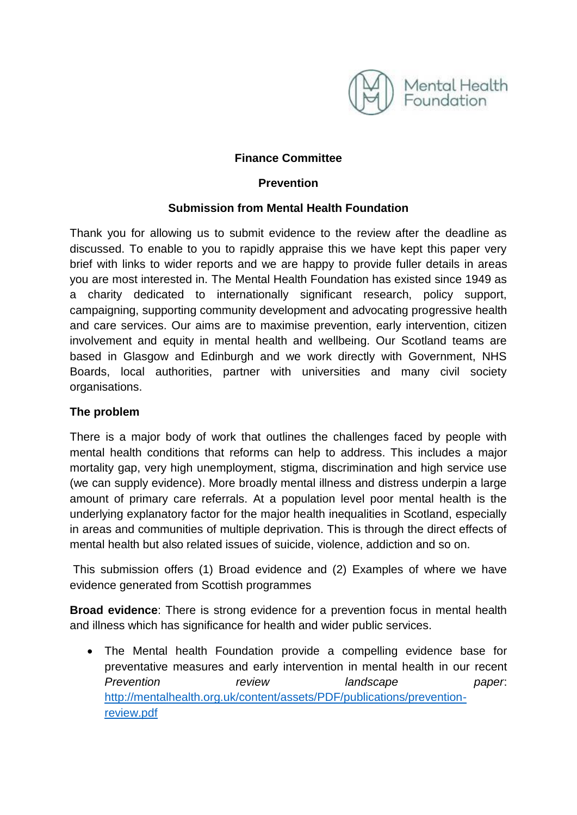

## **Finance Committee**

## **Prevention**

## **Submission from Mental Health Foundation**

Thank you for allowing us to submit evidence to the review after the deadline as discussed. To enable to you to rapidly appraise this we have kept this paper very brief with links to wider reports and we are happy to provide fuller details in areas you are most interested in. The Mental Health Foundation has existed since 1949 as a charity dedicated to internationally significant research, policy support, campaigning, supporting community development and advocating progressive health and care services. Our aims are to maximise prevention, early intervention, citizen involvement and equity in mental health and wellbeing. Our Scotland teams are based in Glasgow and Edinburgh and we work directly with Government, NHS Boards, local authorities, partner with universities and many civil society organisations.

## **The problem**

There is a major body of work that outlines the challenges faced by people with mental health conditions that reforms can help to address. This includes a major mortality gap, very high unemployment, stigma, discrimination and high service use (we can supply evidence). More broadly mental illness and distress underpin a large amount of primary care referrals. At a population level poor mental health is the underlying explanatory factor for the major health inequalities in Scotland, especially in areas and communities of multiple deprivation. This is through the direct effects of mental health but also related issues of suicide, violence, addiction and so on.

This submission offers (1) Broad evidence and (2) Examples of where we have evidence generated from Scottish programmes

**Broad evidence**: There is strong evidence for a prevention focus in mental health and illness which has significance for health and wider public services.

 The Mental health Foundation provide a compelling evidence base for preventative measures and early intervention in mental health in our recent *Prevention review landscape paper*: [http://mentalhealth.org.uk/content/assets/PDF/publications/prevention](http://mentalhealth.org.uk/content/assets/PDF/publications/prevention-review.pdf)[review.pdf](http://mentalhealth.org.uk/content/assets/PDF/publications/prevention-review.pdf)